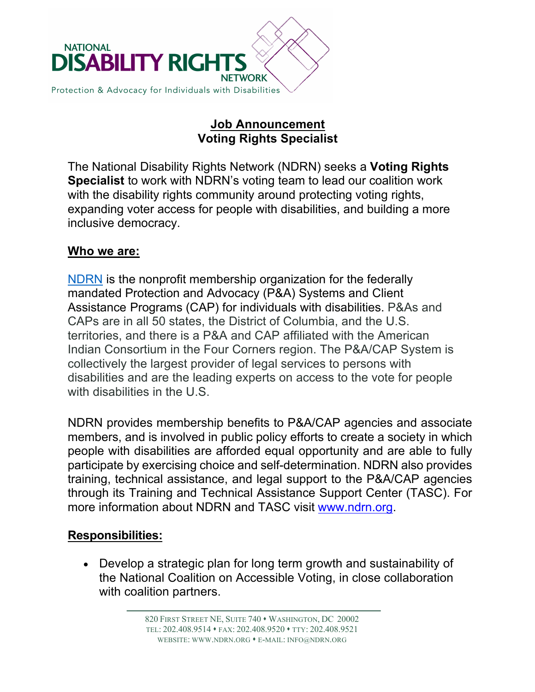

## **Job Announcement Voting Rights Specialist**

The National Disability Rights Network (NDRN) seeks a **Voting Rights Specialist** to work with NDRN's voting team to lead our coalition work with the disability rights community around protecting voting rights, expanding voter access for people with disabilities, and building a more inclusive democracy.

### **Who we are:**

NDRN is the nonprofit membership organization for the federally mandated Protection and Advocacy (P&A) Systems and Client Assistance Programs (CAP) for individuals with disabilities. P&As and CAPs are in all 50 states, the District of Columbia, and the U.S. territories, and there is a P&A and CAP affiliated with the American Indian Consortium in the Four Corners region. The P&A/CAP System is collectively the largest provider of legal services to persons with disabilities and are the leading experts on access to the vote for people with disabilities in the U.S.

NDRN provides membership benefits to P&A/CAP agencies and associate members, and is involved in public policy efforts to create a society in which people with disabilities are afforded equal opportunity and are able to fully participate by exercising choice and self-determination. NDRN also provides training, technical assistance, and legal support to the P&A/CAP agencies through its Training and Technical Assistance Support Center (TASC). For more information about NDRN and TASC visit www.ndrn.org.

### **Responsibilities:**

• Develop a strategic plan for long term growth and sustainability of the National Coalition on Accessible Voting, in close collaboration with coalition partners.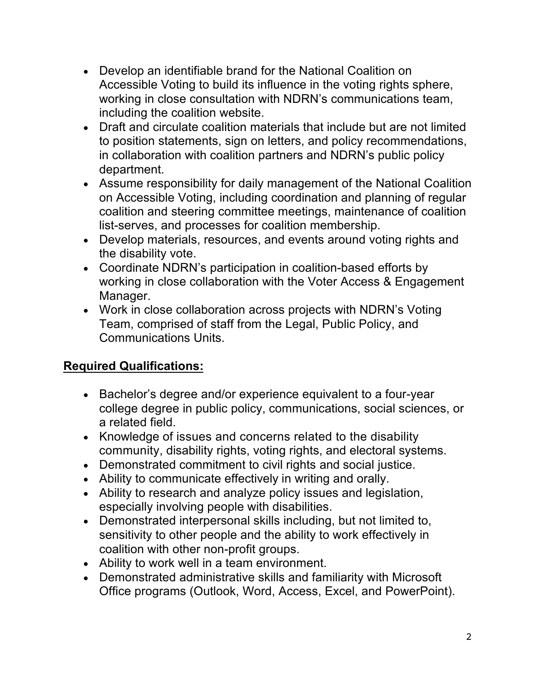- Develop an identifiable brand for the National Coalition on Accessible Voting to build its influence in the voting rights sphere, working in close consultation with NDRN's communications team, including the coalition website.
- Draft and circulate coalition materials that include but are not limited to position statements, sign on letters, and policy recommendations, in collaboration with coalition partners and NDRN's public policy department.
- Assume responsibility for daily management of the National Coalition on Accessible Voting, including coordination and planning of regular coalition and steering committee meetings, maintenance of coalition list-serves, and processes for coalition membership.
- Develop materials, resources, and events around voting rights and the disability vote.
- Coordinate NDRN's participation in coalition-based efforts by working in close collaboration with the Voter Access & Engagement Manager.
- Work in close collaboration across projects with NDRN's Voting Team, comprised of staff from the Legal, Public Policy, and Communications Units.

## **Required Qualifications:**

- Bachelor's degree and/or experience equivalent to a four-year college degree in public policy, communications, social sciences, or a related field.
- Knowledge of issues and concerns related to the disability community, disability rights, voting rights, and electoral systems.
- Demonstrated commitment to civil rights and social justice.
- Ability to communicate effectively in writing and orally.
- Ability to research and analyze policy issues and legislation, especially involving people with disabilities.
- Demonstrated interpersonal skills including, but not limited to, sensitivity to other people and the ability to work effectively in coalition with other non-profit groups.
- Ability to work well in a team environment.
- Demonstrated administrative skills and familiarity with Microsoft Office programs (Outlook, Word, Access, Excel, and PowerPoint).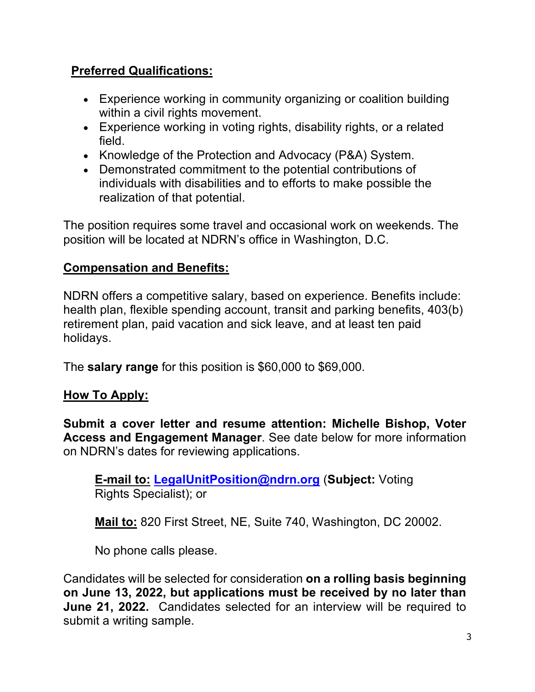# **Preferred Qualifications:**

- Experience working in community organizing or coalition building within a civil rights movement.
- Experience working in voting rights, disability rights, or a related field.
- Knowledge of the Protection and Advocacy (P&A) System.
- Demonstrated commitment to the potential contributions of individuals with disabilities and to efforts to make possible the realization of that potential.

The position requires some travel and occasional work on weekends. The position will be located at NDRN's office in Washington, D.C.

# **Compensation and Benefits:**

NDRN offers a competitive salary, based on experience. Benefits include: health plan, flexible spending account, transit and parking benefits, 403(b) retirement plan, paid vacation and sick leave, and at least ten paid holidays.

The **salary range** for this position is \$60,000 to \$69,000.

## **How To Apply:**

**Submit a cover letter and resume attention: Michelle Bishop, Voter Access and Engagement Manager**. See date below for more information on NDRN's dates for reviewing applications.

**E-mail to: LegalUnitPosition@ndrn.org** (**Subject:** Voting Rights Specialist); or

**Mail to:** 820 First Street, NE, Suite 740, Washington, DC 20002.

No phone calls please.

Candidates will be selected for consideration **on a rolling basis beginning on June 13, 2022, but applications must be received by no later than June 21, 2022.** Candidates selected for an interview will be required to submit a writing sample.